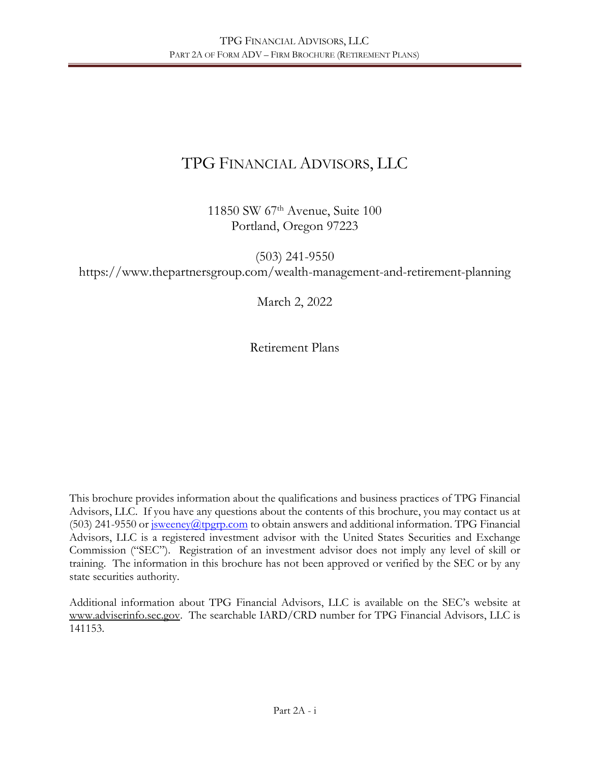# TPG FINANCIAL ADVISORS, LLC

11850 SW 67th Avenue, Suite 100 Portland, Oregon 97223

(503) 241-9550 https://www.thepartnersgroup.com/wealth-management-and-retirement-planning

March 2, 2022

Retirement Plans

This brochure provides information about the qualifications and business practices of TPG Financial Advisors, LLC. If you have any questions about the contents of this brochure, you may contact us at (503) 241-9550 or  $\frac{i}{\text{sweene}}$  *(* $\frac{d}{d}$ )  $\frac{d}{d}$  to obtain answers and additional information. TPG Financial Advisors, LLC is a registered investment advisor with the United States Securities and Exchange Commission ("SEC"). Registration of an investment advisor does not imply any level of skill or training. The information in this brochure has not been approved or verified by the SEC or by any state securities authority.

Additional information about TPG Financial Advisors, LLC is available on the SEC's website at www.adviserinfo.sec.gov. The searchable IARD/CRD number for TPG Financial Advisors, LLC is 141153.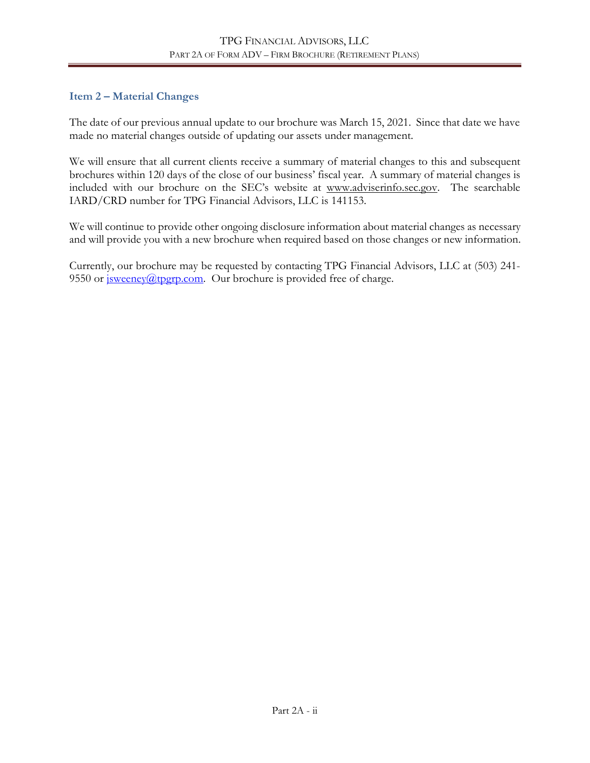# **Item 2 – Material Changes**

The date of our previous annual update to our brochure was March 15, 2021. Since that date we have made no material changes outside of updating our assets under management.

We will ensure that all current clients receive a summary of material changes to this and subsequent brochures within 120 days of the close of our business' fiscal year. A summary of material changes is included with our brochure on the SEC's website at www.adviserinfo.sec.gov. The searchable IARD/CRD number for TPG Financial Advisors, LLC is 141153.

We will continue to provide other ongoing disclosure information about material changes as necessary and will provide you with a new brochure when required based on those changes or new information.

Currently, our brochure may be requested by contacting TPG Financial Advisors, LLC at (503) 241- 9550 or  $\frac{\text{isweency}(a) \text{top.com}}{\text{comey}}$ . Our brochure is provided free of charge.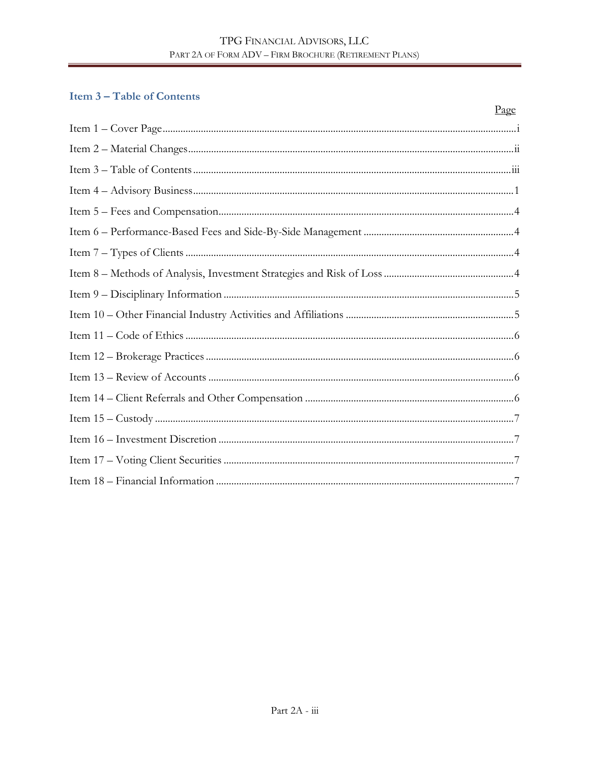# **Item 3-Table of Contents**

| Page |
|------|
|      |
|      |
|      |
|      |
|      |
|      |
|      |
|      |
|      |
|      |
|      |
|      |
|      |
|      |
|      |
|      |
|      |
|      |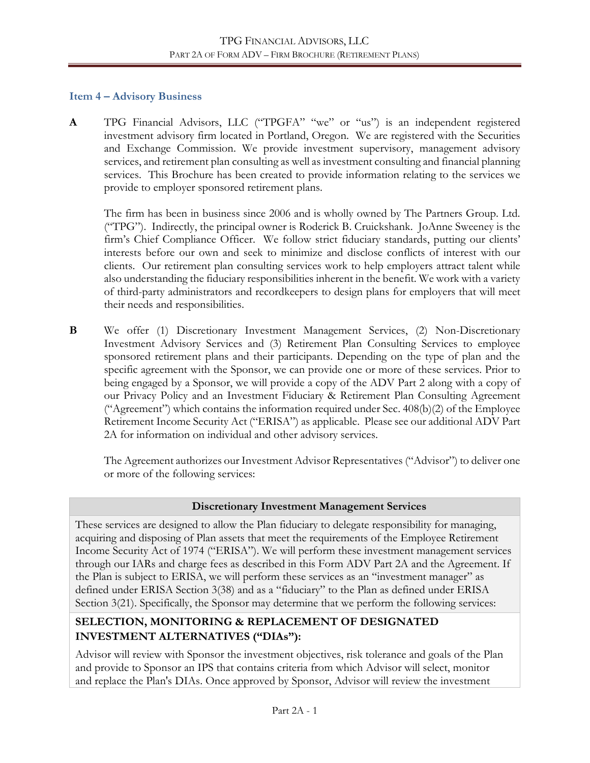### **Item 4 – Advisory Business**

**A** TPG Financial Advisors, LLC ("TPGFA" "we" or "us") is an independent registered investment advisory firm located in Portland, Oregon. We are registered with the Securities and Exchange Commission. We provide investment supervisory, management advisory services, and retirement plan consulting as well as investment consulting and financial planning services. This Brochure has been created to provide information relating to the services we provide to employer sponsored retirement plans.

The firm has been in business since 2006 and is wholly owned by The Partners Group. Ltd. ("TPG"). Indirectly, the principal owner is Roderick B. Cruickshank. JoAnne Sweeney is the firm's Chief Compliance Officer. We follow strict fiduciary standards, putting our clients' interests before our own and seek to minimize and disclose conflicts of interest with our clients. Our retirement plan consulting services work to help employers attract talent while also understanding the fiduciary responsibilities inherent in the benefit. We work with a variety of third-party administrators and recordkeepers to design plans for employers that will meet their needs and responsibilities.

**B** We offer (1) Discretionary Investment Management Services, (2) Non-Discretionary Investment Advisory Services and (3) Retirement Plan Consulting Services to employee sponsored retirement plans and their participants. Depending on the type of plan and the specific agreement with the Sponsor, we can provide one or more of these services. Prior to being engaged by a Sponsor, we will provide a copy of the ADV Part 2 along with a copy of our Privacy Policy and an Investment Fiduciary & Retirement Plan Consulting Agreement ("Agreement") which contains the information required under Sec. 408(b)(2) of the Employee Retirement Income Security Act ("ERISA") as applicable. Please see our additional ADV Part 2A for information on individual and other advisory services.

The Agreement authorizes our Investment Advisor Representatives ("Advisor") to deliver one or more of the following services:

# **Discretionary Investment Management Services**

These services are designed to allow the Plan fiduciary to delegate responsibility for managing, acquiring and disposing of Plan assets that meet the requirements of the Employee Retirement Income Security Act of 1974 ("ERISA"). We will perform these investment management services through our IARs and charge fees as described in this Form ADV Part 2A and the Agreement. If the Plan is subject to ERISA, we will perform these services as an "investment manager" as defined under ERISA Section 3(38) and as a "fiduciary" to the Plan as defined under ERISA Section 3(21). Specifically, the Sponsor may determine that we perform the following services:

# **SELECTION, MONITORING & REPLACEMENT OF DESIGNATED INVESTMENT ALTERNATIVES ("DIAs"):**

Advisor will review with Sponsor the investment objectives, risk tolerance and goals of the Plan and provide to Sponsor an IPS that contains criteria from which Advisor will select, monitor and replace the Plan's DIAs. Once approved by Sponsor, Advisor will review the investment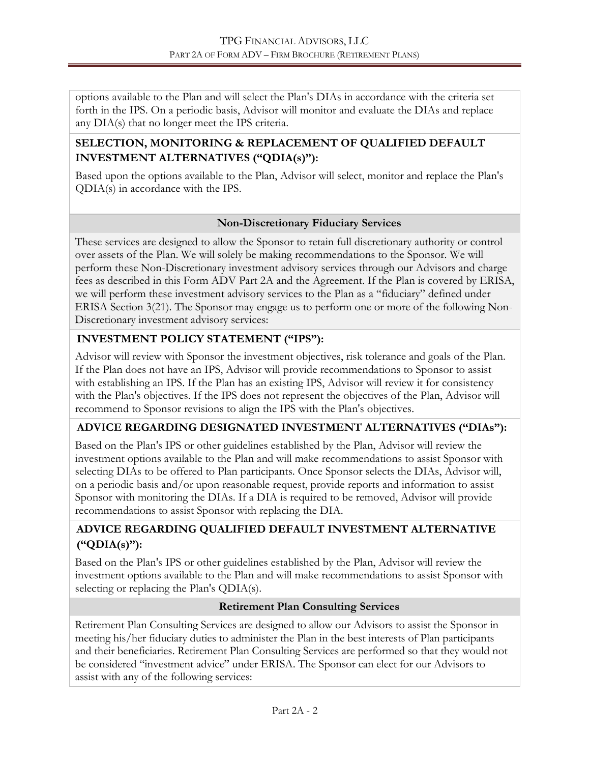options available to the Plan and will select the Plan's DIAs in accordance with the criteria set forth in the IPS. On a periodic basis, Advisor will monitor and evaluate the DIAs and replace any DIA(s) that no longer meet the IPS criteria.

# **SELECTION, MONITORING & REPLACEMENT OF QUALIFIED DEFAULT INVESTMENT ALTERNATIVES ("QDIA(s)"):**

Based upon the options available to the Plan, Advisor will select, monitor and replace the Plan's QDIA(s) in accordance with the IPS.

# **Non-Discretionary Fiduciary Services**

These services are designed to allow the Sponsor to retain full discretionary authority or control over assets of the Plan. We will solely be making recommendations to the Sponsor. We will perform these Non-Discretionary investment advisory services through our Advisors and charge fees as described in this Form ADV Part 2A and the Agreement. If the Plan is covered by ERISA, we will perform these investment advisory services to the Plan as a "fiduciary" defined under ERISA Section 3(21). The Sponsor may engage us to perform one or more of the following Non-Discretionary investment advisory services:

# **INVESTMENT POLICY STATEMENT ("IPS"):**

Advisor will review with Sponsor the investment objectives, risk tolerance and goals of the Plan. If the Plan does not have an IPS, Advisor will provide recommendations to Sponsor to assist with establishing an IPS. If the Plan has an existing IPS, Advisor will review it for consistency with the Plan's objectives. If the IPS does not represent the objectives of the Plan, Advisor will recommend to Sponsor revisions to align the IPS with the Plan's objectives.

# **ADVICE REGARDING DESIGNATED INVESTMENT ALTERNATIVES ("DIAs"):**

Based on the Plan's IPS or other guidelines established by the Plan, Advisor will review the investment options available to the Plan and will make recommendations to assist Sponsor with selecting DIAs to be offered to Plan participants. Once Sponsor selects the DIAs, Advisor will, on a periodic basis and/or upon reasonable request, provide reports and information to assist Sponsor with monitoring the DIAs. If a DIA is required to be removed, Advisor will provide recommendations to assist Sponsor with replacing the DIA.

# **ADVICE REGARDING QUALIFIED DEFAULT INVESTMENT ALTERNATIVE ("QDIA(s)"):**

Based on the Plan's IPS or other guidelines established by the Plan, Advisor will review the investment options available to the Plan and will make recommendations to assist Sponsor with selecting or replacing the Plan's QDIA(s).

# **Retirement Plan Consulting Services**

Retirement Plan Consulting Services are designed to allow our Advisors to assist the Sponsor in meeting his/her fiduciary duties to administer the Plan in the best interests of Plan participants and their beneficiaries. Retirement Plan Consulting Services are performed so that they would not be considered "investment advice" under ERISA. The Sponsor can elect for our Advisors to assist with any of the following services: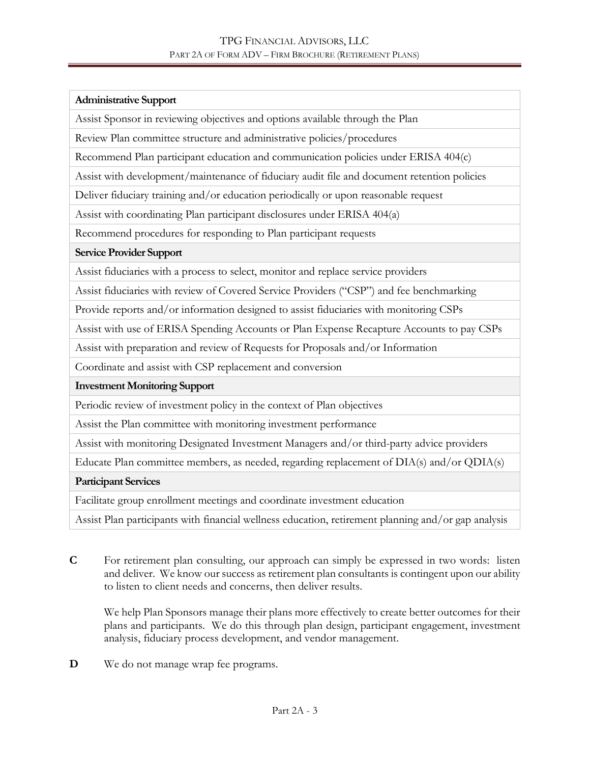#### **Administrative Support**

Assist Sponsor in reviewing objectives and options available through the Plan

Review Plan committee structure and administrative policies/procedures

Recommend Plan participant education and communication policies under ERISA 404(c)

Assist with development/maintenance of fiduciary audit file and document retention policies

Deliver fiduciary training and/or education periodically or upon reasonable request

Assist with coordinating Plan participant disclosures under ERISA 404(a)

Recommend procedures for responding to Plan participant requests

#### **Service Provider Support**

Assist fiduciaries with a process to select, monitor and replace service providers

Assist fiduciaries with review of Covered Service Providers ("CSP") and fee benchmarking

Provide reports and/or information designed to assist fiduciaries with monitoring CSPs

Assist with use of ERISA Spending Accounts or Plan Expense Recapture Accounts to pay CSPs

Assist with preparation and review of Requests for Proposals and/or Information

Coordinate and assist with CSP replacement and conversion

#### **Investment Monitoring Support**

Periodic review of investment policy in the context of Plan objectives

Assist the Plan committee with monitoring investment performance

Assist with monitoring Designated Investment Managers and/or third-party advice providers

Educate Plan committee members, as needed, regarding replacement of DIA(s) and/or QDIA(s)

#### **Participant Services**

Facilitate group enrollment meetings and coordinate investment education

Assist Plan participants with financial wellness education, retirement planning and/or gap analysis

**C** For retirement plan consulting, our approach can simply be expressed in two words: listen and deliver. We know our success as retirement plan consultants is contingent upon our ability to listen to client needs and concerns, then deliver results.

We help Plan Sponsors manage their plans more effectively to create better outcomes for their plans and participants. We do this through plan design, participant engagement, investment analysis, fiduciary process development, and vendor management.

**D** We do not manage wrap fee programs.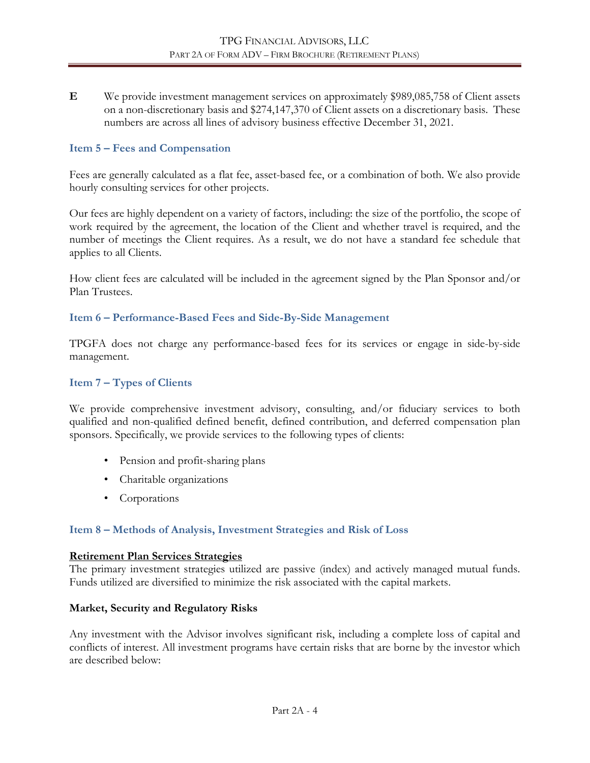**E** We provide investment management services on approximately \$989,085,758 of Client assets on a non-discretionary basis and \$274,147,370 of Client assets on a discretionary basis. These numbers are across all lines of advisory business effective December 31, 2021.

#### **Item 5 – Fees and Compensation**

Fees are generally calculated as a flat fee, asset-based fee, or a combination of both. We also provide hourly consulting services for other projects.

Our fees are highly dependent on a variety of factors, including: the size of the portfolio, the scope of work required by the agreement, the location of the Client and whether travel is required, and the number of meetings the Client requires. As a result, we do not have a standard fee schedule that applies to all Clients.

How client fees are calculated will be included in the agreement signed by the Plan Sponsor and/or Plan Trustees.

#### **Item 6 – Performance-Based Fees and Side-By-Side Management**

TPGFA does not charge any performance-based fees for its services or engage in side-by-side management.

#### **Item 7 – Types of Clients**

We provide comprehensive investment advisory, consulting, and/or fiduciary services to both qualified and non-qualified defined benefit, defined contribution, and deferred compensation plan sponsors. Specifically, we provide services to the following types of clients:

- Pension and profit-sharing plans
- Charitable organizations
- Corporations

#### **Item 8 – Methods of Analysis, Investment Strategies and Risk of Loss**

#### **Retirement Plan Services Strategies**

The primary investment strategies utilized are passive (index) and actively managed mutual funds. Funds utilized are diversified to minimize the risk associated with the capital markets.

#### **Market, Security and Regulatory Risks**

Any investment with the Advisor involves significant risk, including a complete loss of capital and conflicts of interest. All investment programs have certain risks that are borne by the investor which are described below: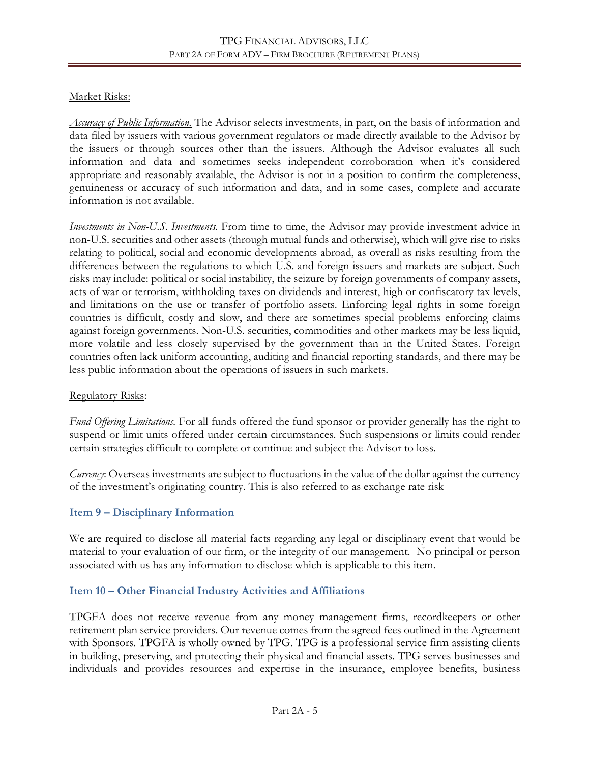# Market Risks:

*Accuracy of Public Information.* The Advisor selects investments, in part, on the basis of information and data filed by issuers with various government regulators or made directly available to the Advisor by the issuers or through sources other than the issuers. Although the Advisor evaluates all such information and data and sometimes seeks independent corroboration when it's considered appropriate and reasonably available, the Advisor is not in a position to confirm the completeness, genuineness or accuracy of such information and data, and in some cases, complete and accurate information is not available.

*Investments in Non-U.S. Investments.* From time to time, the Advisor may provide investment advice in non-U.S. securities and other assets (through mutual funds and otherwise), which will give rise to risks relating to political, social and economic developments abroad, as overall as risks resulting from the differences between the regulations to which U.S. and foreign issuers and markets are subject. Such risks may include: political or social instability, the seizure by foreign governments of company assets, acts of war or terrorism, withholding taxes on dividends and interest, high or confiscatory tax levels, and limitations on the use or transfer of portfolio assets. Enforcing legal rights in some foreign countries is difficult, costly and slow, and there are sometimes special problems enforcing claims against foreign governments. Non-U.S. securities, commodities and other markets may be less liquid, more volatile and less closely supervised by the government than in the United States. Foreign countries often lack uniform accounting, auditing and financial reporting standards, and there may be less public information about the operations of issuers in such markets.

# Regulatory Risks:

*Fund Offering Limitations.* For all funds offered the fund sponsor or provider generally has the right to suspend or limit units offered under certain circumstances. Such suspensions or limits could render certain strategies difficult to complete or continue and subject the Advisor to loss.

*Currency*: Overseas investments are subject to fluctuations in the value of the dollar against the currency of the investment's originating country. This is also referred to as exchange rate risk

# **Item 9 – Disciplinary Information**

We are required to disclose all material facts regarding any legal or disciplinary event that would be material to your evaluation of our firm, or the integrity of our management. No principal or person associated with us has any information to disclose which is applicable to this item.

# **Item 10 – Other Financial Industry Activities and Affiliations**

TPGFA does not receive revenue from any money management firms, recordkeepers or other retirement plan service providers. Our revenue comes from the agreed fees outlined in the Agreement with Sponsors. TPGFA is wholly owned by TPG. TPG is a professional service firm assisting clients in building, preserving, and protecting their physical and financial assets. TPG serves businesses and individuals and provides resources and expertise in the insurance, employee benefits, business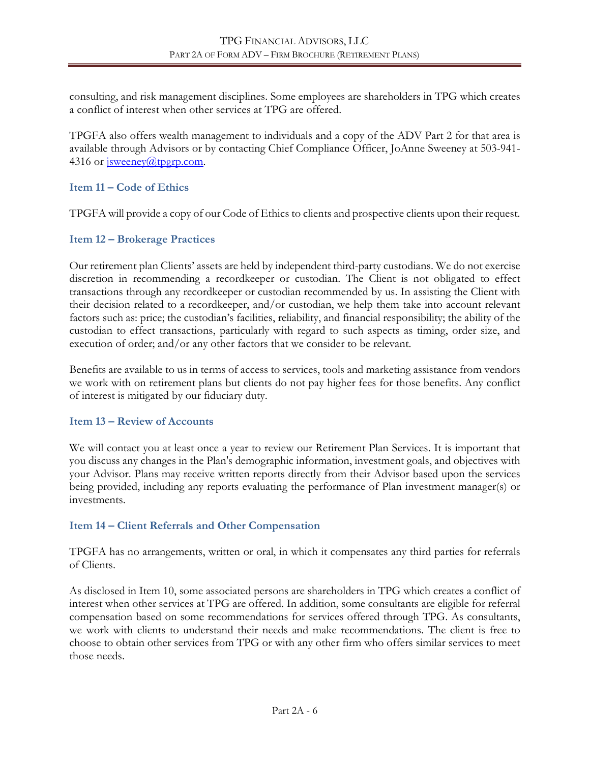consulting, and risk management disciplines. Some employees are shareholders in TPG which creates a conflict of interest when other services at TPG are offered.

TPGFA also offers wealth management to individuals and a copy of the ADV Part 2 for that area is available through Advisors or by contacting Chief Compliance Officer, JoAnne Sweeney at 503-941- 4316 or isweeney@tpgrp.com.

#### **Item 11 – Code of Ethics**

TPGFA will provide a copy of our Code of Ethics to clients and prospective clients upon their request.

### **Item 12 – Brokerage Practices**

Our retirement plan Clients' assets are held by independent third-party custodians. We do not exercise discretion in recommending a recordkeeper or custodian. The Client is not obligated to effect transactions through any recordkeeper or custodian recommended by us. In assisting the Client with their decision related to a recordkeeper, and/or custodian, we help them take into account relevant factors such as: price; the custodian's facilities, reliability, and financial responsibility; the ability of the custodian to effect transactions, particularly with regard to such aspects as timing, order size, and execution of order; and/or any other factors that we consider to be relevant.

Benefits are available to us in terms of access to services, tools and marketing assistance from vendors we work with on retirement plans but clients do not pay higher fees for those benefits. Any conflict of interest is mitigated by our fiduciary duty.

#### **Item 13 – Review of Accounts**

We will contact you at least once a year to review our Retirement Plan Services. It is important that you discuss any changes in the Plan's demographic information, investment goals, and objectives with your Advisor. Plans may receive written reports directly from their Advisor based upon the services being provided, including any reports evaluating the performance of Plan investment manager(s) or investments.

#### **Item 14 – Client Referrals and Other Compensation**

TPGFA has no arrangements, written or oral, in which it compensates any third parties for referrals of Clients.

As disclosed in Item 10, some associated persons are shareholders in TPG which creates a conflict of interest when other services at TPG are offered. In addition, some consultants are eligible for referral compensation based on some recommendations for services offered through TPG. As consultants, we work with clients to understand their needs and make recommendations. The client is free to choose to obtain other services from TPG or with any other firm who offers similar services to meet those needs.